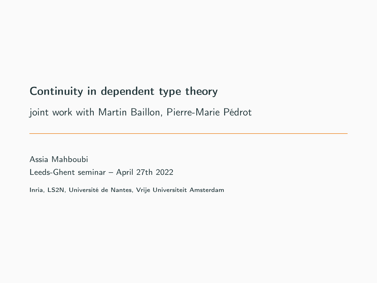# Continuity in dependent type theory

joint work with Martin Baillon, Pierre-Marie Pédrot

Assia Mahboubi Leeds-Ghent seminar – April 27th 2022

Inria, LS2N, Université de Nantes, Vrije Universiteit Amsterdam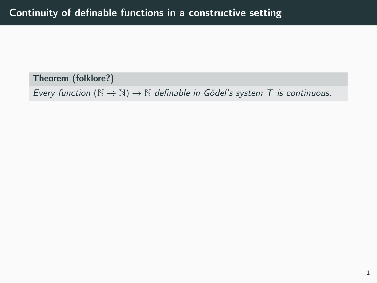Theorem (folklore?)

Every function  $(\mathbb{N} \to \mathbb{N}) \to \mathbb{N}$  definable in Gödel's system T is continuous.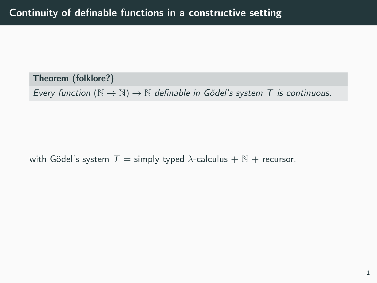Theorem (folklore?)

Every function  $(N \to N) \to N$  definable in Gödel's system T is continuous.

with Gödel's system  $T =$  simply typed  $\lambda$ -calculus + N + recursor.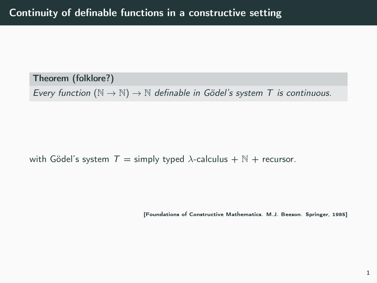Theorem (folklore?)

Every function  $(N \to N) \to N$  definable in Gödel's system T is continuous.

with Gödel's system  $T =$  simply typed  $\lambda$ -calculus +  $\mathbb{N}$  + recursor.

[Foundations of Constructive Mathematics. M.J. Beeson. Springer, 1985]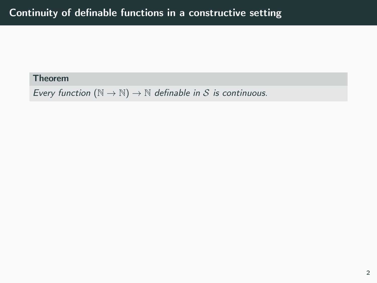Every function  $(\mathbb{N} \to \mathbb{N}) \to \mathbb{N}$  definable in S is continuous.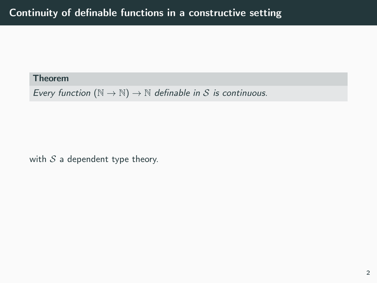Every function  $(\mathbb{N} \to \mathbb{N}) \to \mathbb{N}$  definable in S is continuous.

with  $S$  a dependent type theory.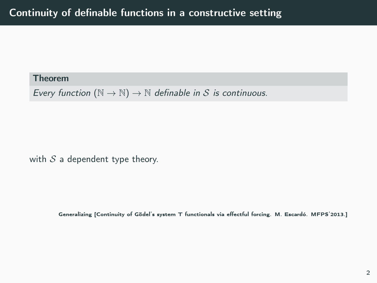Every function  $(N \to N) \to N$  definable in S is continuous.

with  $S$  a dependent type theory.

Generalizing [Continuity of Gödel's system T functionals via effectful forcing. M. Escardó. MFPS'2013.]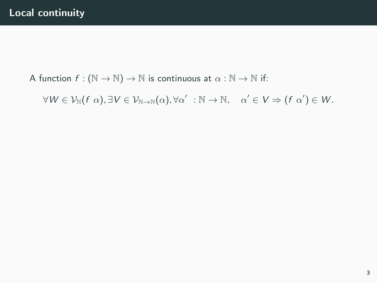A function  $f : (\mathbb{N} \to \mathbb{N}) \to \mathbb{N}$  is continuous at  $\alpha : \mathbb{N} \to \mathbb{N}$  if:

 $\forall W \in \mathcal{V}_{\mathbb{N}}(f \alpha), \exists V \in \mathcal{V}_{\mathbb{N} \to \mathbb{N}}(\alpha), \forall \alpha' \ : \mathbb{N} \to \mathbb{N}, \quad \alpha' \in V \Rightarrow (f \alpha') \in W.$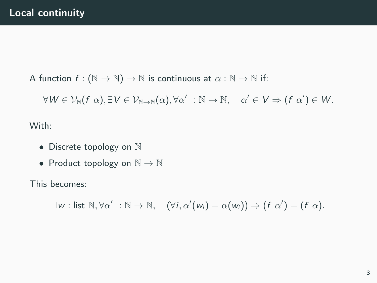A function  $f : (\mathbb{N} \to \mathbb{N}) \to \mathbb{N}$  is continuous at  $\alpha : \mathbb{N} \to \mathbb{N}$  if:

 $\forall W \in \mathcal{V}_{\mathbb{N}}(f \alpha), \exists V \in \mathcal{V}_{\mathbb{N} \to \mathbb{N}}(\alpha), \forall \alpha' \ : \mathbb{N} \to \mathbb{N}, \quad \alpha' \in V \Rightarrow (f \alpha') \in W.$ 

With:

- Discrete topology on N
- Product topology on  $\mathbb{N} \to \mathbb{N}$

This becomes:

 $\exists w : \text{list } \mathbb{N}, \forall \alpha' : \mathbb{N} \to \mathbb{N}, \quad (\forall i, \alpha'(w_i) = \alpha(w_i)) \Rightarrow (f \alpha') = (f \alpha).$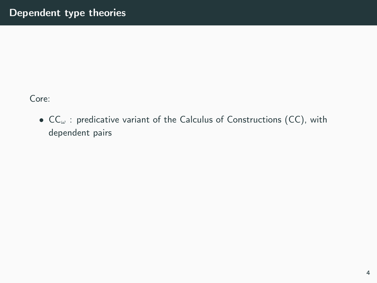Core:

•  $CC_{\omega}$ : predicative variant of the Calculus of Constructions (CC), with dependent pairs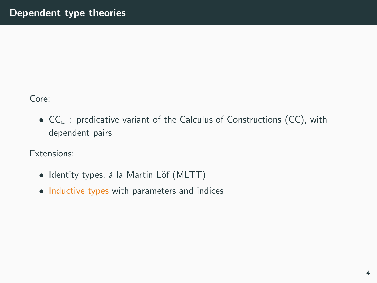Core:

•  $CC_{\omega}$ : predicative variant of the Calculus of Constructions (CC), with dependent pairs

Extensions:

- Identity types, à la Martin Löf (MLTT)
- Inductive types with parameters and indices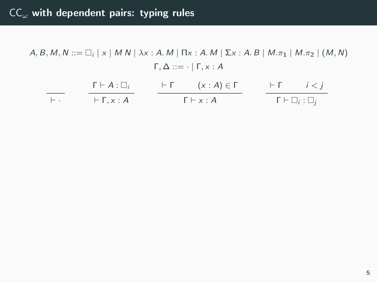|            | $\Gamma \vdash A : \Box$ | $\vdash \Gamma$ $(x:A) \in \Gamma$ |  | $\vdash \Gamma$ $i < i$         |
|------------|--------------------------|------------------------------------|--|---------------------------------|
| $\vdash$ . | $\vdash \Gamma$ . $x:A$  | $\Gamma \vdash x : A$              |  | $\Gamma \vdash \Box_i : \Box_i$ |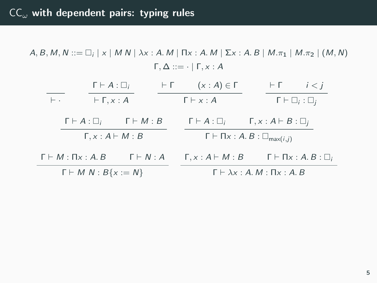|                                     |                                      | $\Gamma \vdash A : \Box_i$ |                       | $+$ $-$                                                 | $(x : A) \in \Gamma$                          |                                 |  | FГ.                               | i < i                                |
|-------------------------------------|--------------------------------------|----------------------------|-----------------------|---------------------------------------------------------|-----------------------------------------------|---------------------------------|--|-----------------------------------|--------------------------------------|
|                                     | $\vdash$ .<br>$\vdash \Gamma, x : A$ |                            |                       | $\Gamma \vdash x : A$                                   |                                               | $\Gamma \vdash \Box_i : \Box_i$ |  |                                   |                                      |
|                                     | $\Gamma \vdash A : \Box_i$           |                            | $\Gamma \vdash M : B$ |                                                         | $\Gamma \vdash A : \Box_i$                    |                                 |  | $\Gamma, x : A \vdash B : \Box_i$ |                                      |
| $\Gamma, x : A \vdash M : B$        |                                      |                            |                       | $\Gamma \vdash \Pi x : A.B : \square_{\text{max}(i,j)}$ |                                               |                                 |  |                                   |                                      |
|                                     | $\Gamma \vdash M : \Pi_{X} : A. B$   |                            | $\Gamma \vdash N : A$ |                                                         | $\Gamma, x : A \vdash M : B$                  |                                 |  |                                   | $\Gamma \vdash \Pi x : A.B : \Box_i$ |
| $\Gamma \vdash M \ N : B\{x := N\}$ |                                      |                            |                       |                                                         | $\Gamma \vdash \lambda x : A.M : \Pi x : A.B$ |                                 |  |                                   |                                      |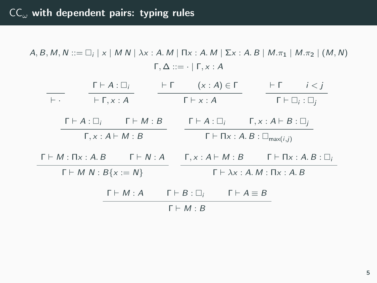÷,

|                                                                                      |  | $\Gamma \vdash A : \Box_i$                                  | $\vdash \Gamma$ |                                                             | $(x : A) \in \Gamma$                                  |  |                              | $\vdash \Gamma$ $i < i$                                                |
|--------------------------------------------------------------------------------------|--|-------------------------------------------------------------|-----------------|-------------------------------------------------------------|-------------------------------------------------------|--|------------------------------|------------------------------------------------------------------------|
| $\vdash$ .                                                                           |  | $\vdash \Gamma, x : A$                                      |                 | $\Gamma \vdash x : A$                                       |                                                       |  |                              | $\Gamma \vdash \Box_i : \Box_i$                                        |
|                                                                                      |  | $\Gamma \vdash A : \Box_i \qquad \Gamma \vdash M : B$       |                 |                                                             | $\Gamma \vdash A : \Box_i$                            |  | $\Gamma, x:A\vdash B:\Box_i$ |                                                                        |
| $\Gamma, x : A \vdash M : B$                                                         |  |                                                             |                 | $\Gamma \vdash \Pi x : A \ldotp B : \Box_{\text{max}(i,j)}$ |                                                       |  |                              |                                                                        |
|                                                                                      |  | $\Gamma \vdash M : \Pi_X : A \cdot B$ $\Gamma \vdash N : A$ |                 |                                                             |                                                       |  |                              | $\Gamma, x : A \vdash M : B$ $\Gamma \vdash \Pi x : A . B : \square_i$ |
| $\Gamma \vdash M \ N : B\{x := N\}$<br>$\Gamma \vdash \lambda x : A.M : \Pi x : A.B$ |  |                                                             |                 |                                                             |                                                       |  |                              |                                                                        |
|                                                                                      |  | $\Gamma \vdash M : A$                                       |                 |                                                             | $\Gamma \vdash B : \Box_i$ $\Gamma \vdash A \equiv B$ |  |                              |                                                                        |
| $\Gamma \vdash M : B$                                                                |  |                                                             |                 |                                                             |                                                       |  |                              |                                                                        |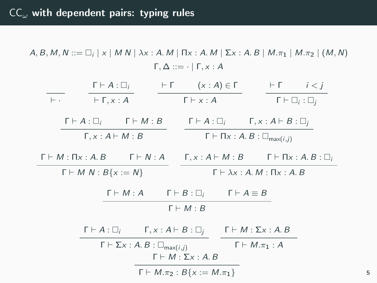| $\Gamma \vdash A : \Box_i$                                                              | $\vdash \Gamma$ $(x:A) \in \Gamma$ | $\vdash \Gamma$ $i < i$                                              |  |  |  |
|-----------------------------------------------------------------------------------------|------------------------------------|----------------------------------------------------------------------|--|--|--|
| $\vdash \Gamma, x : A$<br>$\vdash$ $\cdot$                                              | $\Gamma \vdash x : A$              | $\Gamma \vdash \Box_i : \Box_i$                                      |  |  |  |
| $\Gamma \vdash A : \Box_i \qquad \Gamma \vdash M : B$                                   |                                    | $\Gamma \vdash A : \Box_i$ $\Gamma, x : A \vdash B : \Box_i$         |  |  |  |
| $\Gamma, x : A \vdash M : B$                                                            |                                    | $\Gamma \vdash \Pi x : A.B : \square_{\text{max}(i,j)}$              |  |  |  |
| $\Gamma \vdash M : \Pi_{X} : A. B$ $\Gamma \vdash N : A$                                |                                    | $\Gamma, x : A \vdash M : B$ $\Gamma \vdash \Pi x : A . B : \square$ |  |  |  |
| $\Gamma \vdash M \ N : B\{x := N\}$<br>$\Gamma \vdash \lambda x : A.M : \Pi x : A.B$    |                                    |                                                                      |  |  |  |
| $\Gamma \vdash M : A$ $\Gamma \vdash B : \Box_i$                                        |                                    | $\Gamma \vdash A \equiv B$                                           |  |  |  |
| $\Gamma \vdash M : B$                                                                   |                                    |                                                                      |  |  |  |
| $\Gamma \vdash A : \Box_i$ $\Gamma, x : A \vdash B : \Box_i$                            |                                    | $\Gamma \vdash M : \Sigma \times : A \ldotp B$                       |  |  |  |
| $\Gamma \vdash \Sigma x : A.B : \square_{\text{max}(i,j)}$                              |                                    | $\Gamma \vdash M_{\cdot} \pi_1 : A$                                  |  |  |  |
| $\Gamma \vdash M : \Sigma x : A \cdot B$<br>$\Gamma \vdash M.\pi_2 : B\{x := M.\pi_1\}$ |                                    |                                                                      |  |  |  |

5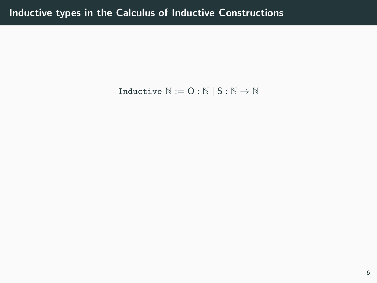Inductive  $\mathbb{N} := \mathsf{O} : \mathbb{N} \mid \mathsf{S} : \mathbb{N} \to \mathbb{N}$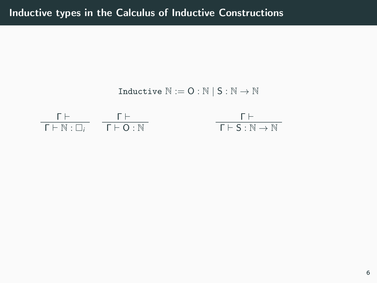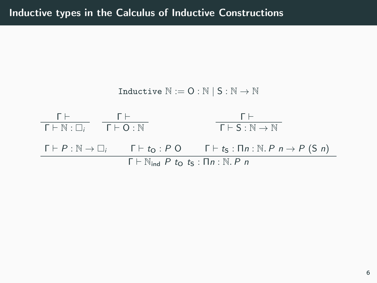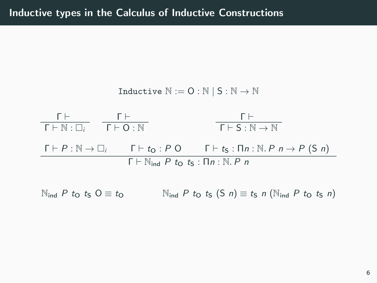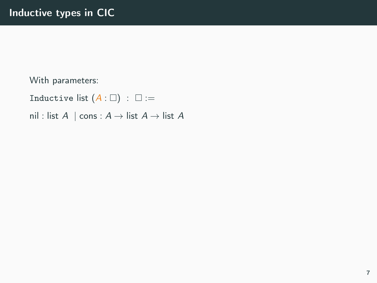## With parameters:

Inductive list  $(A: \Box)$  :  $\Box :=$ 

nil : list  $A \mid \text{cons} : A \rightarrow \text{list } A \rightarrow \text{list } A$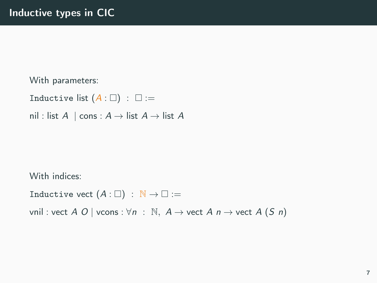### With parameters:

Inductive list  $(A: \square)$  :  $\square$  :=

nil : list  $A \mid \text{cons} : A \rightarrow \text{list } A \rightarrow \text{list } A$ 

With indices:

Inductive vect  $(A: \square) : \mathbb{N} \to \square :=$ 

vnil : vect A O | vcons :  $\forall n : \mathbb{N}, A \rightarrow$  vect A  $n \rightarrow$  vect A  $(S n)$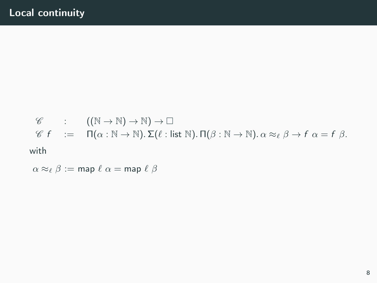$$
\mathscr{C} : ((\mathbb{N} \to \mathbb{N}) \to \mathbb{N}) \to \square
$$
  

$$
\mathscr{C} f := \Pi(\alpha : \mathbb{N} \to \mathbb{N}). \Sigma(\ell : \text{list } \mathbb{N}). \Pi(\beta : \mathbb{N} \to \mathbb{N}). \alpha \approx_{\ell} \beta \to f \alpha = f \beta.
$$
  
with

 $\alpha \approx_{\ell} \beta := \text{map } \ell \alpha = \text{map } \ell \beta$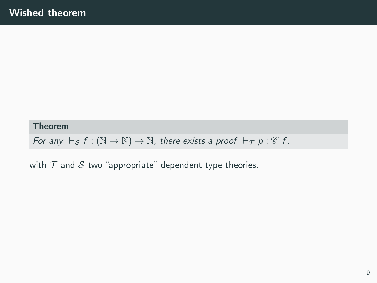For any  $\vdash_S f : (\mathbb{N} \to \mathbb{N}) \to \mathbb{N}$ , there exists a proof  $\vdash_T p : \mathscr{C} f$ .

with  $T$  and  $S$  two "appropriate" dependent type theories.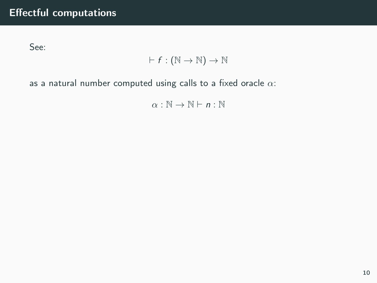See:

# $\vdash f : (\mathbb{N} \to \mathbb{N}) \to \mathbb{N}$

as a natural number computed using calls to a fixed oracle  $\alpha$ :

 $\alpha : \mathbb{N} \to \mathbb{N} \vdash n : \mathbb{N}$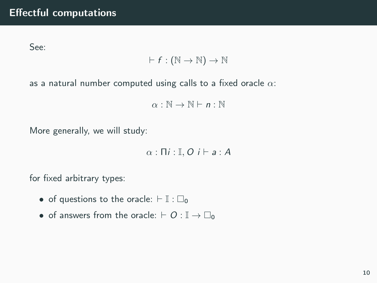See:

$$
\vdash f:(\mathbb{N}\to\mathbb{N})\to\mathbb{N}
$$

as a natural number computed using calls to a fixed oracle  $\alpha$ :

 $\alpha : \mathbb{N} \to \mathbb{N} \vdash n : \mathbb{N}$ 

More generally, we will study:

 $\alpha$  :  $\Pi$ *i* :  $\mathbb{I}$ ,  $O$  *i*  $\vdash$  *a* : A

for fixed arbitrary types:

- of questions to the oracle:  $\vdash \mathbb{I} : \Box_0$
- of answers from the oracle:  $\vdash$  O :  $\mathbb{I} \rightarrow \Box_0$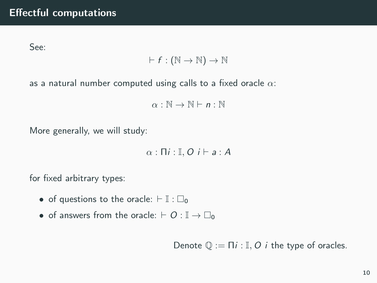See:

$$
\vdash f:(\mathbb{N}\to\mathbb{N})\to\mathbb{N}
$$

as a natural number computed using calls to a fixed oracle  $\alpha$ :

 $\alpha : \mathbb{N} \to \mathbb{N} \vdash n : \mathbb{N}$ 

More generally, we will study:

 $\alpha$  :  $\Pi$ *i* :  $\mathbb{I}$ ,  $O$  *i*  $\vdash$  *a* : A

for fixed arbitrary types:

- of questions to the oracle:  $\vdash \mathbb{I} : \Box_0$
- of answers from the oracle:  $\vdash O : \mathbb{I} \to \Box_0$

Denote  $\mathbb{Q} := \Pi i : \mathbb{I}, O$  i the type of oracles.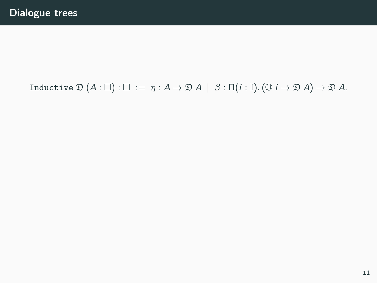# Inductive  $\mathfrak{D}(A: \square)$  :  $\square := \eta : A \to \mathfrak{D} A \mid \beta : \Pi(i: \mathbb{I}). (\mathbb{O} \text{ } i \to \mathfrak{D} A) \to \mathfrak{D} A$ .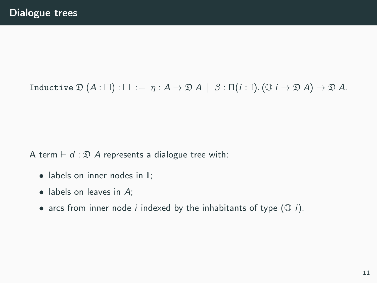# Inductive  $\mathfrak{D}(A: \square)$  :  $\square := \eta : A \to \mathfrak{D} A \mid \beta : \Pi(i: \mathbb{I}).$   $(\mathbb{O} \mid i \to \mathfrak{D} A) \to \mathfrak{D} A$ .

A term  $\vdash d : \mathfrak{D}$  A represents a dialogue tree with:

- $\bullet$  labels on inner nodes in  $\mathbb{I}$ :
- labels on leaves in A;
- arcs from inner node *i* indexed by the inhabitants of type  $(① i)$ .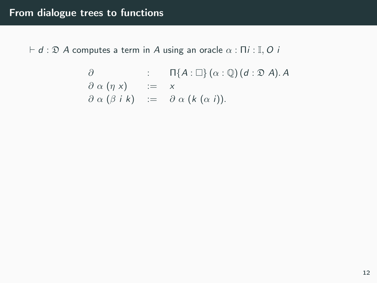$\vdash d : \mathfrak{D}$  A computes a term in A using an oracle  $\alpha : \Pi i : \mathbb{I}, O$  i

$$
\begin{array}{lll}\n\partial & : & \Pi\{A:\Box\}(\alpha:\mathbb{Q}) \, (d:\mathfrak{D} \, A).\, A \\
\partial \alpha \, (\eta \, x) & := & x \\
\partial \alpha \, (\beta \, i \, k) & := & \partial \alpha \, (k \, (\alpha \, i)).\n\end{array}
$$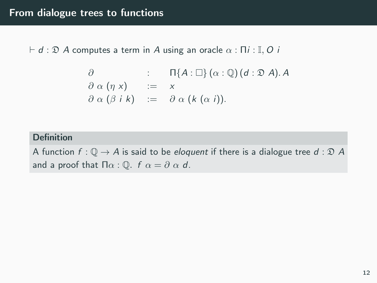$\vdash d : \mathfrak{D}$  A computes a term in A using an oracle  $\alpha : \Pi i : \mathbb{I}, O \nvert i$ 

$$
\begin{array}{lll}\n\partial & \colon & \Pi\{A:\Box\}(\alpha:\mathbb{Q})\,(d:\mathfrak{D}\,A).\,A \\
\partial\alpha\,(\eta\,x) & \colon = & x \\
\partial\alpha\,(\beta\,i\,k) & \colon = & \partial\alpha\,(k\,(\alpha\,i)).\n\end{array}
$$

### Definition

A function  $f: \mathbb{Q} \to A$  is said to be eloquent if there is a dialogue tree  $d: \mathcal{D} A$ and a proof that  $\Pi \alpha : \mathbb{Q}$ .  $f \alpha = \partial \alpha d$ .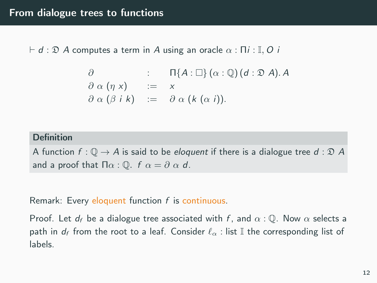$\vdash d : \mathfrak{D}$  A computes a term in A using an oracle  $\alpha : \Pi i : \mathbb{I}, O$  i

$$
\begin{array}{lll}\n\partial & \colon & \Pi\{A:\Box\}(\alpha:\mathbb{Q})\,(d:\mathfrak{D}\,A).\,A \\
\partial\alpha\,(\eta\,x) & \colon = & x \\
\partial\alpha\,(\beta\,i\,k) & \colon = & \partial\alpha\,(k\,(\alpha\,i)).\n\end{array}
$$

## Definition

A function  $f: \mathbb{Q} \to A$  is said to be *eloquent* if there is a dialogue tree  $d: \mathcal{D} A$ and a proof that  $\Pi \alpha$  :  $\mathbb{O}$ .  $f \alpha = \partial \alpha d$ .

Remark: Every eloquent function f is continuous.

Proof. Let  $d_f$  be a dialogue tree associated with f, and  $\alpha : \mathbb{Q}$ . Now  $\alpha$  selects a path in  $d_f$  from the root to a leaf. Consider  $\ell_\alpha$  : list II the corresponding list of labels.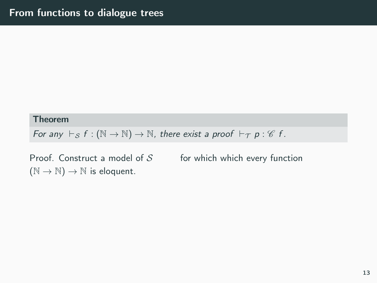For any  $\vdash_S f : (\mathbb{N} \to \mathbb{N}) \to \mathbb{N}$ , there exist a proof  $\vdash_T p : \mathscr{C} f$ .

Proof. Construct a model of  ${\cal S}$  for which which every function  $(N \to N) \to N$  is eloquent.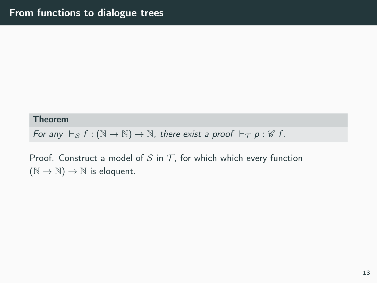For any  $\vdash_S f : (\mathbb{N} \to \mathbb{N}) \to \mathbb{N}$ , there exist a proof  $\vdash_T p : \mathscr{C} f$ .

Proof. Construct a model of S in T, for which which every function  $(N \to N) \to N$  is eloquent.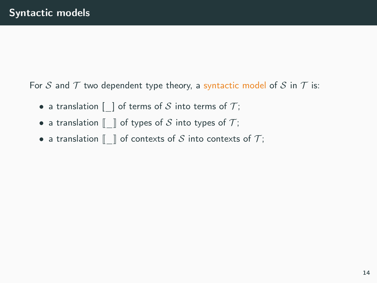For S and T two dependent type theory, a syntactic model of S in T is:

- a translation  $\lceil \;\; \rceil$  of terms of S into terms of T;
- a translation  $\llbracket \ \ \rbracket$  of types of S into types of T;
- a translation  $\llbracket \ \ \rbracket$  of contexts of S into contexts of T;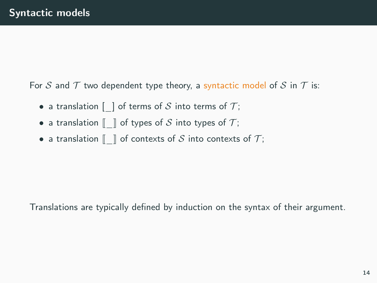For S and T two dependent type theory, a syntactic model of S in T is:

- a translation  $\lceil \;\; \rceil$  of terms of S into terms of T;
- a translation  $\llbracket \ \ \rbracket$  of types of S into types of T;
- a translation  $\llbracket \ \ \rbracket$  of contexts of S into contexts of T;

Translations are typically defined by induction on the syntax of their argument.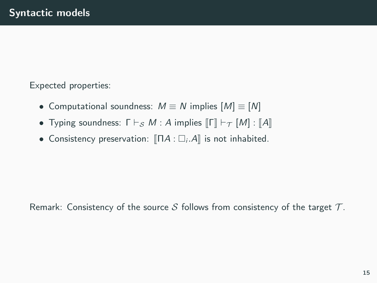Expected properties:

- Computational soundness:  $M \equiv N$  implies  $[M] \equiv [N]$
- Typing soundness:  $\Gamma \vdash_S M$  : A implies  $\llbracket \Gamma \rrbracket \vdash_{\tau} [M]$  :  $\llbracket A \rrbracket$
- Consistency preservation:  $\P$  $\P$  $A$  :  $\square_i$  $A$  $\parallel$  is not inhabited.

Remark: Consistency of the source S follows from consistency of the target  $\mathcal T$ .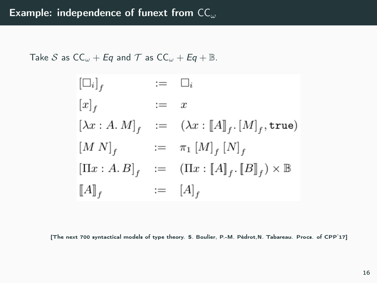Take S as  $CC_{\omega} + Eq$  and T as  $CC_{\omega} + Eq + \mathbb{B}$ .

$$
\begin{aligned}\n[\Box_i]_f &:= \Box_i \\
[x]_f &:= x \\
[\lambda x : A \cdot M]_f &:= (\lambda x : [A]_f \cdot [M]_f, \text{true}) \\
[M \ N]_f &:= \pi_1 [M]_f [N]_f \\
[\Pi x : A \cdot B]_f &:= (\Pi x : [A]_f \cdot [B]_f) \times \mathbb{B} \\
[A]_f &:= [A]_f\n\end{aligned}
$$

[The next 700 syntactical models of type theory. S. Boulier, P.-M. Pédrot,N. Tabareau. Procs. of CPP'17]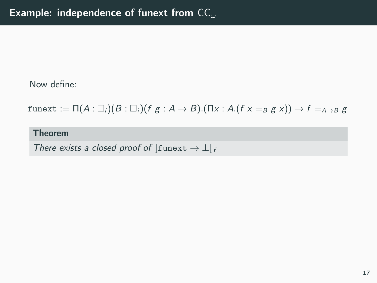funext :=  $\Pi(A: \Box_i)(B: \Box_i)(f g: A \rightarrow B)$ .( $\Pi x: A$ .( $f x =_B g x$ ))  $\rightarrow f =_{A \rightarrow B} g$ 

Theorem

There exists a closed proof of  $[\text{funext} \to \bot]_f$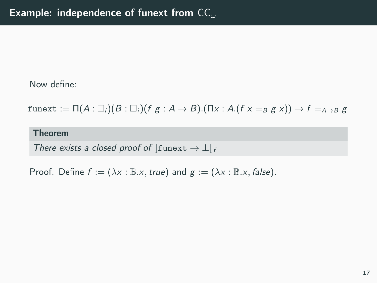funext :=  $\Pi(A: \Box_i)(B: \Box_i)(f g: A \rightarrow B)$ .( $\Pi x: A$ . $(f x =_B g x)$ )  $\rightarrow f =_{A \rightarrow B} g$ 

Theorem

There exists a closed proof of  $[\text{funext} \to \bot]_f$ 

Proof. Define  $f := (\lambda x : \mathbb{B}.x, true)$  and  $g := (\lambda x : \mathbb{B}.x, false)$ .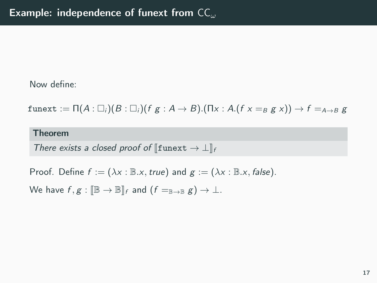funext :=  $\Pi(A: \Box_i)(B: \Box_i)(f g: A \rightarrow B)$ .( $\Pi x: A(f x =_B g x)$ )  $\rightarrow f =_{A \rightarrow B} g$ 

#### Theorem

There exists a closed proof of  $[\text{funext} \to \bot]_f$ 

Proof. Define  $f := (\lambda x : \mathbb{B}.x, true)$  and  $g := (\lambda x : \mathbb{B}.x, false)$ .

We have  $f, g : \mathbb{IB} \to \mathbb{IB}$  and  $(f =_{\mathbb{IB} \to \mathbb{IB}} g) \to \bot$ .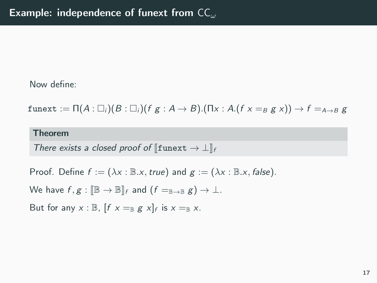funext :=  $\Pi(A: \Box_i)(B: \Box_i)(f g: A \rightarrow B)$ .( $\Pi x: A(f x =_B g x)$ )  $\rightarrow f =_{A \rightarrow B} g$ 

#### Theorem

There exists a closed proof of  $\llbracket$ funext  $\rightarrow \perp \rrbracket_f$ 

Proof. Define  $f := (\lambda x : \mathbb{B}.x, true)$  and  $g := (\lambda x : \mathbb{B}.x, false)$ .

We have  $f, g : \mathbb{IB} \to \mathbb{IB}$  and  $(f =_{\mathbb{IB} \to \mathbb{IB}} g) \to \bot$ .

But for any  $x : \mathbb{B}$ ,  $[f x =_{\mathbb{B}} g x]_f$  is  $x =_{\mathbb{B}} x$ .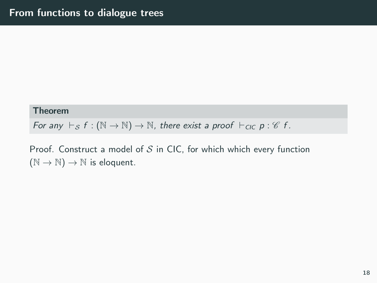### Theorem

For any  $\vdash_S f : (\mathbb{N} \to \mathbb{N}) \to \mathbb{N}$ , there exist a proof  $\vdash_{\text{CIC}} p : \mathscr{C} f$ .

Proof. Construct a model of  $S$  in CIC, for which which every function  $(N \to N) \to N$  is eloquent.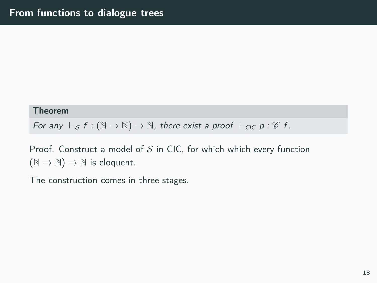### Theorem

For any  $\vdash_S f : (\mathbb{N} \to \mathbb{N}) \to \mathbb{N}$ , there exist a proof  $\vdash_{\mathsf{CIC}} p : \mathscr{C} f$ .

Proof. Construct a model of  $S$  in CIC, for which which every function  $(N \to N) \to N$  is eloquent.

The construction comes in three stages.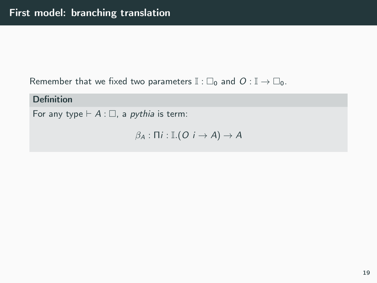Remember that we fixed two parameters  $\mathbb{I} : \Box_0$  and  $O : \mathbb{I} \to \Box_0$ .

## Definition

For any type  $\vdash A : \square$ , a *pythia* is term:

 $\beta_A : \Pi i : \mathbb{I} \cdot (O \cap A) \to A$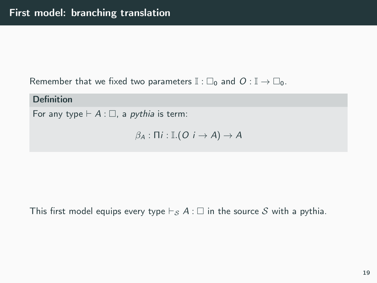Remember that we fixed two parameters  $\mathbb{I} : \Box_0$  and  $O : \mathbb{I} \to \Box_0$ .

## Definition

For any type  $\vdash A : \square$ , a *pythia* is term:

$$
\beta_A:\Pi i:\mathbb{I}.(O\ i\rightarrow A)\rightarrow A
$$

This first model equips every type  $\vdash_S A : \square$  in the source S with a pythia.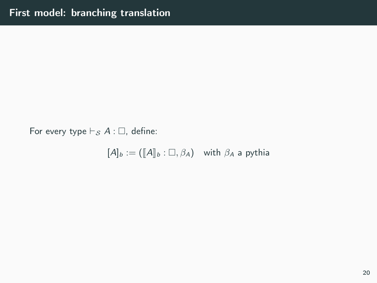For every type  $\vdash_S A : \square$ , define:

 $[A]_b := (\llbracket A \rrbracket_b : \Box, \beta_A)$  with  $\beta_A$  a pythia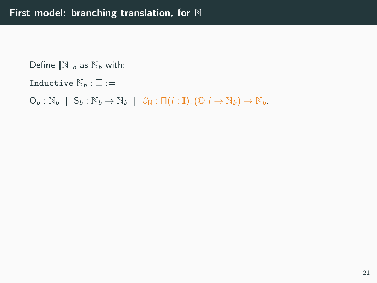Define  $\mathbb{N}_{b}$  as  $\mathbb{N}_{b}$  with: Inductive  $\mathbb{N}_b : \square :=$  $O_b : \mathbb{N}_b \mid S_b : \mathbb{N}_b \rightarrow \mathbb{N}_b \mid \beta_{\mathbb{N}} : \Pi(i : \mathbb{I}).(\mathbb{O} \text{ } i \rightarrow \mathbb{N}_b) \rightarrow \mathbb{N}_b.$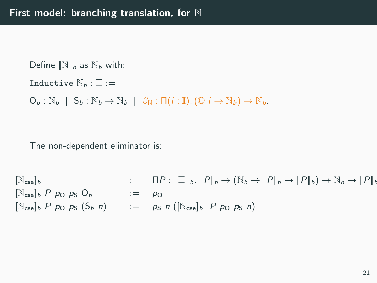Define  $\mathbb{N}_{b}$  as  $\mathbb{N}_{b}$  with: Inductive  $\mathbb{N}_b : \square :=$  $O_b : \mathbb{N}_b \mid S_b : \mathbb{N}_b \rightarrow \mathbb{N}_b \mid \beta_{\mathbb{N}} : \Pi(i : \mathbb{I}).(\mathbb{O} \ni \rightarrow \mathbb{N}_b) \rightarrow \mathbb{N}_b.$ 

The non-dependent eliminator is:

 $[\mathbb{N}_{\text{cse}}]_b$  :  $\Pi P : [\Box]_b, [\![P]\!]_b \to (\mathbb{N}_b \to [\![P]\!]_b \to [\![P]\!]_b \to \mathbb{N}_b \to [\![P]\!]_t$  $[N_{\text{cse}}]_b$  P p<sub>O</sub> p<sub>S</sub> O<sub>b</sub>  $:=$  p<sub>O</sub>  $[N_{\text{cse}}]_b$  P po ps  $(S_b \ n)$  := ps n  $(N_{\text{cse}}]_b$  P po ps n)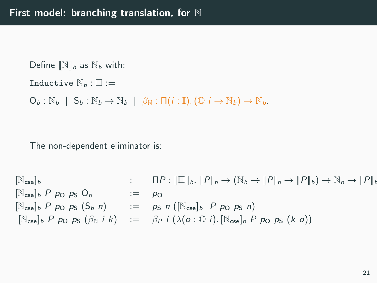Define  $\mathbb{N}_{b}$  as  $\mathbb{N}_{b}$  with: Inductive  $\mathbb{N}_b : \square :=$  $O_b : \mathbb{N}_b \mid S_b : \mathbb{N}_b \rightarrow \mathbb{N}_b \mid \beta_{\mathbb{N}} : \Pi(i : \mathbb{I}).(\mathbb{O} \ni \rightarrow \mathbb{N}_b) \rightarrow \mathbb{N}_b.$ 

The non-dependent eliminator is:

 $[\mathbb{N}_{\text{cse}}]_b$  :  $\Pi P : [\Box]_b$ .  $[P]_b \to (\mathbb{N}_b \to [P]_b \to [P]_b) \to \mathbb{N}_b \to [P]_b$  $[N_{\text{cse}}]_b$  P p<sub>O</sub> p<sub>S</sub> O<sub>b</sub>  $:=$  p<sub>O</sub>  $[\mathbb{N}_{\text{cse}}]_b$  P po ps  $(S_b$  n)  $:=$  ps n  $([\mathbb{N}_{\text{cse}}]_b$  P po ps n)  $[\mathbb{N}_{\text{cse}}]_b$  P p<sub>O</sub> p<sub>S</sub>  $(\beta_{\mathbb{N}} i k) := \beta_P i (\lambda(o : \mathbb{O} i). [\mathbb{N}_{\text{cse}}]_b$  P p<sub>O</sub> p<sub>S</sub>  $(k o)$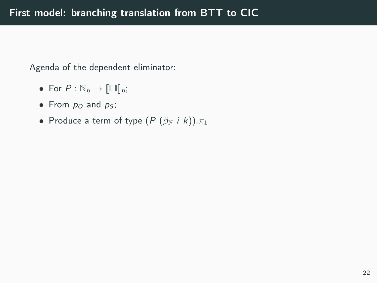Agenda of the dependent eliminator:

- For  $P : \mathbb{N}_b \to \llbracket \square \rrbracket_b;$
- From  $p_0$  and  $p_5$ ;
- Produce a term of type  $(P (\beta_N i k)) \cdot \pi_1$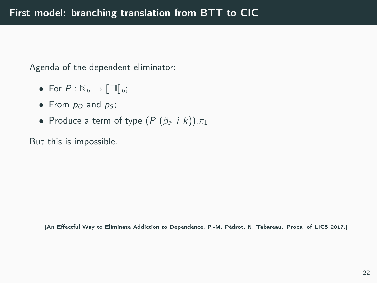Agenda of the dependent eliminator:

- For  $P : \mathbb{N}_b \to \llbracket \square \rrbracket_b;$
- From  $p_0$  and  $p_5$ ;
- Produce a term of type  $(P (\beta_N i k)) \cdot \pi_1$

But this is impossible.

[An Effectful Way to Eliminate Addiction to Dependence, P.-M. Pédrot, N, Tabareau. Procs. of LICS 2017.]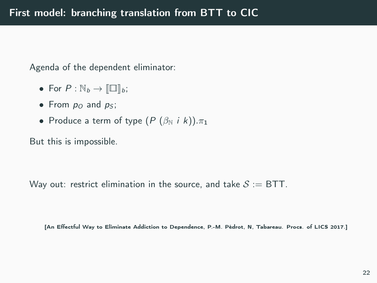Agenda of the dependent eliminator:

- For  $P : \mathbb{N}_b \to \llbracket \square \rrbracket_b;$
- From  $p_Q$  and  $p_S$ ;
- Produce a term of type  $(P (\beta_N i k)) \cdot \pi_1$

But this is impossible.

Way out: restrict elimination in the source, and take  $S := BTT$ .

[An Effectful Way to Eliminate Addiction to Dependence, P.-M. Pédrot, N, Tabareau. Procs. of LICS 2017.]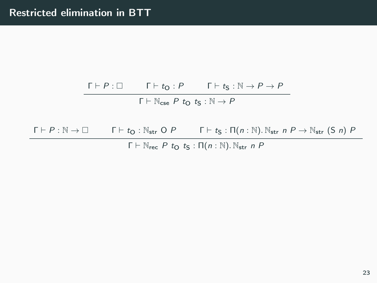# $\Gamma \vdash P : \Box$   $\Gamma \vdash t_{\mathsf{O}} : P$   $\Gamma \vdash t_{\mathsf{S}} : \mathbb{N} \to P \to P$  $Γ ⊢ ℕ_{cse} P t_0 t_5 : ℕ \rightarrow P$

 $\Gamma \vdash P : \mathbb{N} \to \square$  Γ  $\vdash t_{\mathsf{O}} : \mathbb{N}_{\mathsf{str}} \circ P$  Γ  $\vdash t_{\mathsf{S}} : \Pi(n : \mathbb{N}).\mathbb{N}_{\mathsf{str}} \circ P \to \mathbb{N}_{\mathsf{str}}$  (S n) P  $Γ ⊢ ℕ_{rec} P t<sub>Ω</sub> t<sub>S</sub> : Π(n : ℕ). ℕ_{str} n P$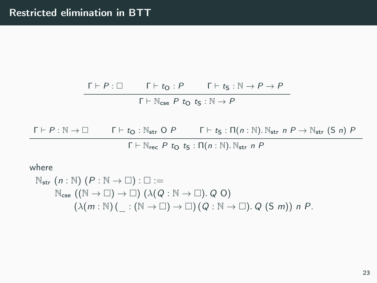$\Gamma \vdash P : \Box$   $\Gamma \vdash t_{\mathsf{O}} : P$   $\Gamma \vdash t_{\mathsf{S}} : \mathbb{N} \to P \to P$  $Γ ⊢ ℕ_{cse} P t_0 t_5 : ℕ \rightarrow P$ 

 $\Gamma \vdash P : \mathbb{N} \to \square$  Γ  $\vdash t_{\mathsf{O}} : \mathbb{N}_{\mathsf{str}} \circ P$  Γ  $\vdash t_{\mathsf{S}} : \Pi(n : \mathbb{N}). \mathbb{N}_{\mathsf{str}} \circ P \to \mathbb{N}_{\mathsf{str}}$  (S n) P  $Γ ⊢ ℕ_{rec} P t<sub>O</sub> t<sub>S</sub> : Π(n : ℕ) . ℕ_{str} n P$ 

where

$$
Nstr (n : N) (P : N → ∎) : ∎ :=\nNcse ((N → ∎) → ∎) (λ(Q : N → ∎). Q O)\n(λ(m : N) ( _ : (N → ∎) → ∪) (Q : N → ∎). Q (S m)) n P.
$$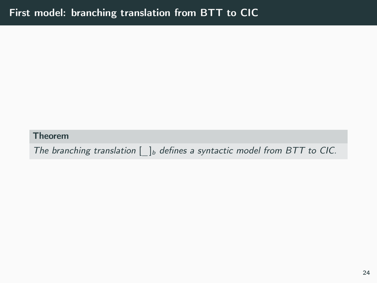Theorem

The branching translation  $[\ ]_b$  defines a syntactic model from BTT to CIC.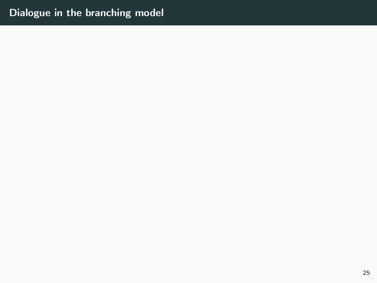# Dialogue in the branching model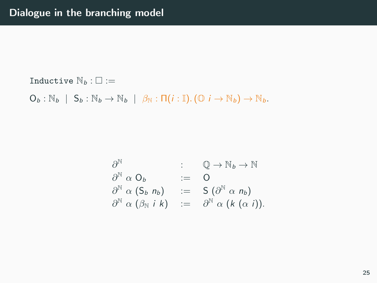Inductive  $\mathbb{N}_b : \square :=$ 

 $O_b : \mathbb{N}_b \mid S_b : \mathbb{N}_b \rightarrow \mathbb{N}_b \mid \beta_{\mathbb{N}} : \Pi(i : \mathbb{I}).(\mathbb{O} \mid i \rightarrow \mathbb{N}_b) \rightarrow \mathbb{N}_b.$ 

$$
\partial^{\mathbb{N}} \alpha \mathbb{O}_{b} \qquad \qquad : \qquad \mathbb{Q} \to \mathbb{N}_{b} \to \mathbb{N}
$$
\n
$$
\partial^{\mathbb{N}} \alpha \mathbb{O}_{b} \qquad \qquad := \qquad \mathbb{O}
$$
\n
$$
\partial^{\mathbb{N}} \alpha (\mathsf{S}_{b} \; n_{b}) \qquad := \qquad \mathsf{S} \left( \partial^{\mathbb{N}} \alpha \; n_{b} \right)
$$
\n
$$
\partial^{\mathbb{N}} \alpha (\beta_{\mathbb{N}} \; i \; k) \qquad := \qquad \partial^{\mathbb{N}} \alpha (\mathsf{k} \left( \alpha \; i \right)).
$$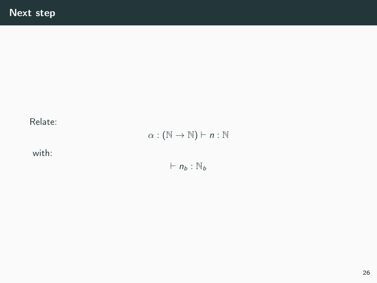### Relate:

 $\alpha : (\mathbb{N} \to \mathbb{N}) \vdash n : \mathbb{N}$ 

with:

 $\vdash n_b : \mathbb{N}_b$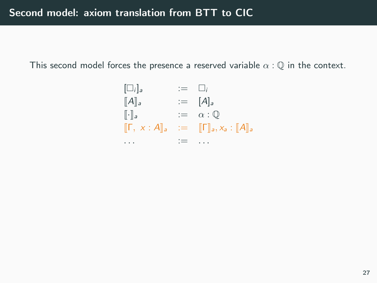This second model forces the presence a reserved variable  $\alpha : \mathbb{Q}$  in the context.

$$
\begin{array}{lll}\n[\Box_i]_a & := & \Box_i \\
[\![A]\!]_a & := & [A]\!]_a \\
[\![\cdot]\!]_a & := & \alpha : \mathbb{Q} \\
[\![\Gamma, \times : A]\!]_a & := & [\![\Gamma]\!]_a, x_a : [\![A]\!]_a \\
\cdots & := & \cdots\n\end{array}
$$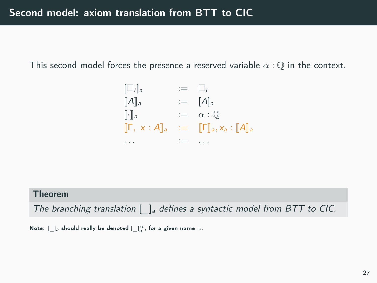This second model forces the presence a reserved variable  $\alpha : \mathbb{Q}$  in the context.

$$
\begin{array}{lll}\n[\Box_i]_a & := & \Box_i \\
[A]_a & := & [A]_a \\
\vdots & \vdots & \vdots \\
[\Gamma, x : A]_a & := & [\Gamma]_a, x_a : [A]_a \\
\cdots & \cdots & \cdots & \cdots\n\end{array}
$$

### Theorem

The branching translation  $\left[\quad\right]_a$  defines a syntactic model from BTT to CIC.

Note:  $[\,\_\,]_a$  should really be denoted  $[\,\_\,]^\alpha_a$ , for a given name  $\alpha.$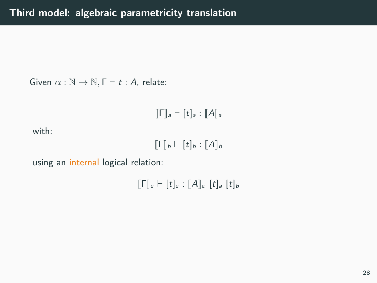Given  $\alpha : \mathbb{N} \to \mathbb{N}, \Gamma \vdash t : A$ , relate:

$$
[\![\Gamma]\!]_a \vdash [t]_a : [\![A]\!]_a
$$

with:

$$
[\![\Gamma]\!]_b \vdash [t]_b : [\![A]\!]_b
$$

using an internal logical relation:

 $[T]_{\varepsilon} \vdash [t]_{\varepsilon} : [A]_{\varepsilon} [t]_a [t]_b$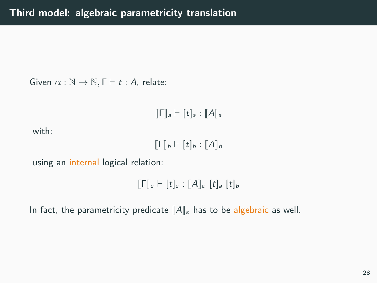Given  $\alpha : \mathbb{N} \to \mathbb{N}, \Gamma \vdash t : A$ , relate:

$$
[\![\Gamma]\!]_a \vdash [t]_a : [\![A]\!]_a
$$

with:

 $\llbracket \mathsf{\Gamma} \rrbracket_b \vdash [t]_b : \llbracket A \rrbracket_b$ 

using an internal logical relation:

```
\llbracket \mathsf{\Gamma} \rrbracket_{\varepsilon} \vdash [t]_{\varepsilon} : \llbracket A \rrbracket_{\varepsilon} [t]_a [t]_b
```
In fact, the parametricity predicate  $\|A\|_{\varepsilon}$  has to be algebraic as well.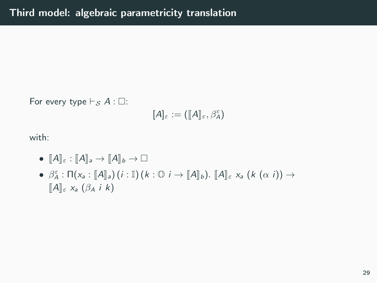For every type  $\vdash_S A : \Box$ :

$$
[A]_{\varepsilon} := ([A]_{\varepsilon}, \beta^{\varepsilon}_A)
$$

with:

- $[A]_s : [A]_a \to [A]_b \to \Box$
- $\bullet$   $\beta_{\alpha}^{\varepsilon} : \Pi(x_{\alpha} : [\![A]\!]_{\alpha}) (i : \mathbb{I}) (k : \mathbb{O} i \to [\![A]\!]_{b}). [\![A]\!]_{\varepsilon} x_{\alpha} (k (\alpha i)) \to$  $\llbracket A \rrbracket_{\varepsilon}$   $x_a$   $(\beta_A$  i k)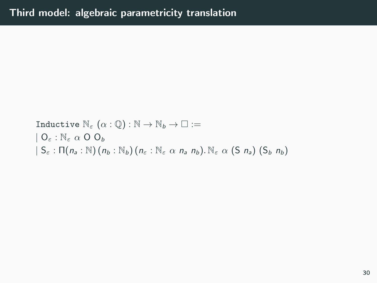Inductive  $\mathbb{N}_{\varepsilon} (\alpha : \mathbb{Q}) : \mathbb{N} \to \mathbb{N}_{b} \to \square :=$  $| 0_{\varepsilon} : \mathbb{N}_{\varepsilon} \alpha 0 0_{b}$  $| S_{\varepsilon} : \Pi(n_a : \mathbb{N}) (n_b : \mathbb{N}_b) (n_{\varepsilon} : \mathbb{N}_{\varepsilon} \alpha n_a n_b) . \mathbb{N}_{\varepsilon} \alpha (S n_a) (S_b n_b)$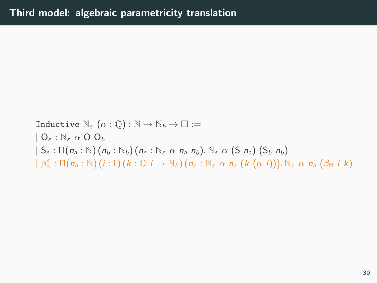Inductive  $\mathbb{N}_{\varepsilon} (\alpha : \mathbb{Q}) : \mathbb{N} \to \mathbb{N}_{b} \to \square :=$  $| 0 \rangle \cdot \mathbb{N}_{\varepsilon} \alpha 0 0 \rangle$  $| S_{\varepsilon} : \Pi(n_a : \mathbb{N}) (n_b : \mathbb{N}_b) (n_{\varepsilon} : \mathbb{N}_{\varepsilon} \alpha n_a n_b)$ .  $\mathbb{N}_{\varepsilon} \alpha (S n_a) (S_b n_b)$  $| \beta_{\mathbb{N}}^{\varepsilon} : \Pi(n_{a} : \mathbb{N}) (i : \mathbb{I}) (k : \mathbb{O} i \to \mathbb{N}_{b}) (n_{\varepsilon} : \mathbb{N}_{\varepsilon} \alpha n_{a} (k (\alpha i))) . \mathbb{N}_{\varepsilon} \alpha n_{a} (\beta_{\mathbb{N}} i k)$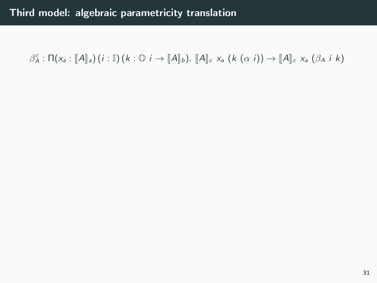$\beta_A^{\varepsilon} : \Pi(x_a : [\![A]\!]_a) (i : \mathbb{I}) (k : \mathbb{O} \cup i \to [\![A]\!]_b)$ .  $[\![A]\!]_{\varepsilon}$   $x_a (k (\alpha i)) \rightarrow [\![A]\!]_{\varepsilon}$   $x_a (\beta_A i k)$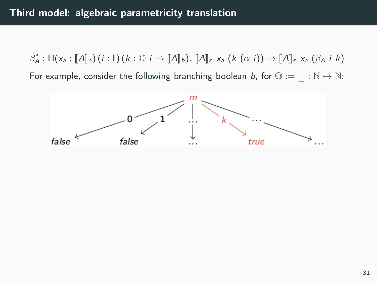$\beta_A^{\varepsilon} : \Pi(x_a : [\![A]\!]_a) (i : \mathbb{I}) (k : \mathbb{O} \cup i \to [\![A]\!]_b)$ .  $[\![A]\!]_{\varepsilon}$   $x_a (k (\alpha i)) \rightarrow [\![A]\!]_{\varepsilon}$   $x_a (\beta_A i k)$ For example, consider the following branching boolean b, for  $\mathbb{O} := \mathbb{N} \mapsto \mathbb{N}$ :

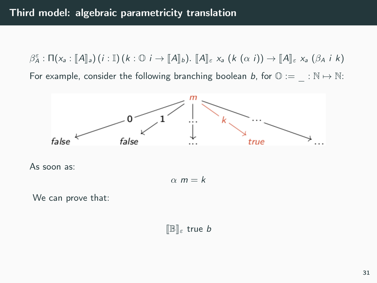$\beta_A^{\varepsilon} : \Pi(x_a : [\![A]\!]_a) (i : \mathbb{I}) (k : \mathbb{O} \cup i \to [\![A]\!]_b)$ .  $[\![A]\!]_{\varepsilon}$   $x_a (k (\alpha i)) \rightarrow [\![A]\!]_{\varepsilon}$   $x_a (\beta_A i k)$ For example, consider the following branching boolean b, for  $\mathbb{O} := \mathbb{N} \mapsto \mathbb{N}$ :



$$
\alpha \; m = k
$$

We can prove that:

 $[\mathbb{B}]_\varepsilon$  true b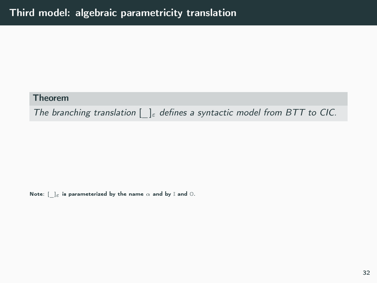### Theorem

The branching translation  $[\ ]_{\varepsilon}$  defines a syntactic model from BTT to CIC.

Note:  $[-]_\varepsilon$  is parameterized by the name  $\alpha$  and by I and  $0.$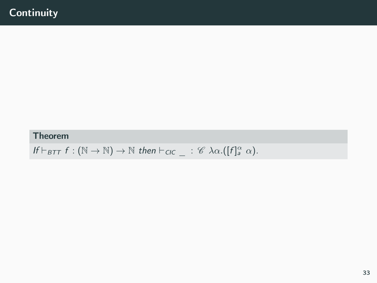### Theorem

If  $\vdash_{\mathsf{BIT}} f : (\mathbb{N} \to \mathbb{N}) \to \mathbb{N}$  then  $\vdash_{\mathsf{CIC}} \_ : \mathscr{C} \lambda \alpha. ([f]^\alpha_a \alpha).$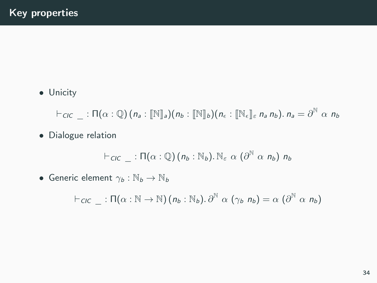• Unicity

 $\vdash_{\mathit{CIC}}\_\;:\Pi(\alpha:\mathbb{Q})\big(\mathit{n_a}:[\mathbb{N}]_\mathit{a}\big)(\mathit{n_b}:[\mathbb{N}]_\mathit{b}\big)(\mathit{n}_\epsilon:[\mathbb{N}_\epsilon]_\varepsilon\mathit{n}_\mathit{a}\mathit{n}_\mathit{b}).\mathit{n}_\mathit{a}=\partial^\mathbb{N}\alpha\mathit{n}_\mathit{b}$ 

• Dialogue relation

$$
\vdash_{\mathit{CIC}} \_ : \Pi(\alpha : \mathbb{Q})(n_b : \mathbb{N}_b) . \mathbb{N}_\varepsilon \alpha (\partial^{\mathbb{N}} \alpha n_b) n_b
$$

• Generic element  $\gamma_b : \mathbb{N}_b \to \mathbb{N}_b$ 

$$
\vdash_{\mathit{CIC}} \_ : \Pi(\alpha : \mathbb{N} \to \mathbb{N}) \, (n_b : \mathbb{N}_b). \, \partial^{\mathbb{N}} \, \alpha \, (\gamma_b \, n_b) = \alpha \, (\partial^{\mathbb{N}} \, \alpha \, n_b)
$$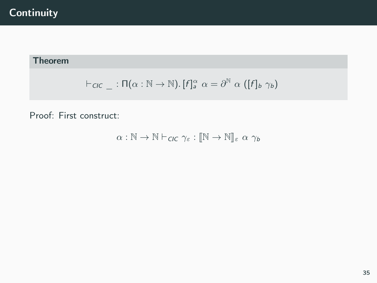## **Continuity**

## Theorem

$$
\vdash_{\mathit{CIC}} \_ : \Pi(\alpha : \mathbb{N} \to \mathbb{N}). [f]^\alpha_a \alpha = \partial^\mathbb{N} \alpha ([f]_b \gamma_b)
$$

Proof: First construct:

$$
\alpha: \mathbb{N} \to \mathbb{N} \vdash_{\text{CIC}} \gamma_{\varepsilon}: [\![\mathbb{N} \to \mathbb{N}]\!]_{\varepsilon} \alpha \gamma_b
$$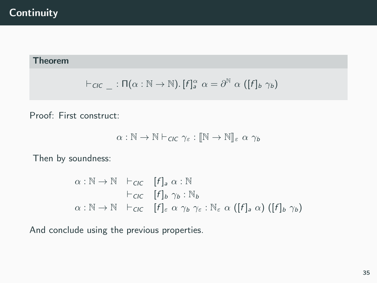## **Continuity**

## Theorem

$$
\vdash_{\mathit{CIC}} \_ : \Pi(\alpha : \mathbb{N} \to \mathbb{N}). [f]^\alpha_a \alpha = \partial^\mathbb{N} \alpha ([f]_b \gamma_b)
$$

Proof: First construct:

$$
\alpha : \mathbb{N} \to \mathbb{N} \vdash_{\text{CIC}} \gamma_{\varepsilon} : [\![\mathbb{N} \to \mathbb{N}]\!]_{\varepsilon} \, \alpha \, \gamma_b
$$

Then by soundness:

$$
\alpha : \mathbb{N} \to \mathbb{N} \quad \vdash_{\text{CIC}} \quad [f]_a \alpha : \mathbb{N}
$$
\n
$$
\vdash_{\text{CIC}} \quad [f]_b \gamma_b : \mathbb{N}_b
$$
\n
$$
\alpha : \mathbb{N} \to \mathbb{N} \quad \vdash_{\text{CIC}} \quad [f]_{\varepsilon} \alpha \gamma_b \gamma_{\varepsilon} : \mathbb{N}_{\varepsilon} \alpha ([f]_a \alpha) ([f]_b \gamma_b)
$$

And conclude using the previous properties.